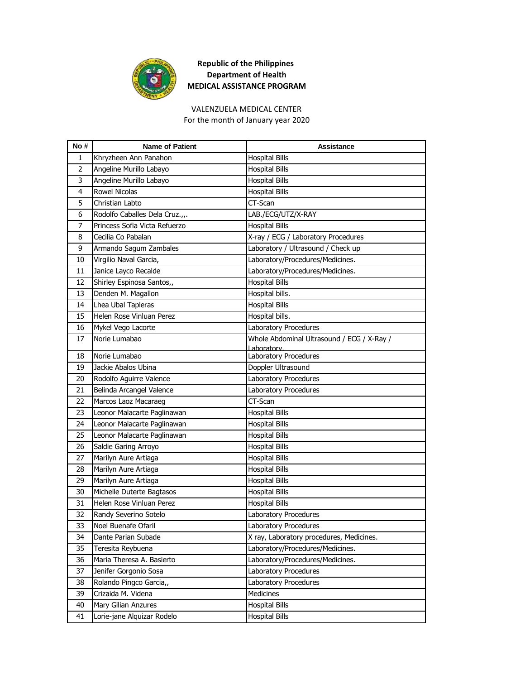

### VALENZUELA MEDICAL CENTER

For the month of January year 2020

| No# | <b>Name of Patient</b>         | Assistance                                 |
|-----|--------------------------------|--------------------------------------------|
| 1   | Khryzheen Ann Panahon          | <b>Hospital Bills</b>                      |
| 2   | Angeline Murillo Labayo        | <b>Hospital Bills</b>                      |
| 3   | Angeline Murillo Labayo        | <b>Hospital Bills</b>                      |
| 4   | Rowel Nicolas                  | <b>Hospital Bills</b>                      |
| 5   | Christian Labto                | CT-Scan                                    |
| 6   | Rodolfo Caballes Dela Cruz.,,. | LAB./ECG/UTZ/X-RAY                         |
| 7   | Princess Sofia Victa Refuerzo  | <b>Hospital Bills</b>                      |
| 8   | Cecilia Co Pabalan             | X-ray / ECG / Laboratory Procedures        |
| 9   | Armando Sagum Zambales         | Laboratory / Ultrasound / Check up         |
| 10  | Virgilio Naval Garcia,         | Laboratory/Procedures/Medicines.           |
| 11  | Janice Layco Recalde           | Laboratory/Procedures/Medicines.           |
| 12  | Shirley Espinosa Santos,,      | <b>Hospital Bills</b>                      |
| 13  | Denden M. Magallon             | Hospital bills.                            |
| 14  | Lhea Ubal Tapleras             | <b>Hospital Bills</b>                      |
| 15  | Helen Rose Vinluan Perez       | Hospital bills.                            |
| 16  | Mykel Vego Lacorte             | Laboratory Procedures                      |
| 17  | Norie Lumabao                  | Whole Abdominal Ultrasound / ECG / X-Ray / |
| 18  | Norie Lumabao                  | Laboratory.<br>Laboratory Procedures       |
| 19  | Jackie Abalos Ubina            | Doppler Ultrasound                         |
| 20  | Rodolfo Aguirre Valence        | Laboratory Procedures                      |
| 21  | Belinda Arcangel Valence       | Laboratory Procedures                      |
| 22  | Marcos Laoz Macaraeg           | CT-Scan                                    |
| 23  | Leonor Malacarte Paglinawan    | <b>Hospital Bills</b>                      |
| 24  | Leonor Malacarte Paglinawan    | <b>Hospital Bills</b>                      |
| 25  | Leonor Malacarte Paglinawan    | <b>Hospital Bills</b>                      |
| 26  | Saldie Garing Arroyo           | <b>Hospital Bills</b>                      |
| 27  | Marilyn Aure Artiaga           | <b>Hospital Bills</b>                      |
| 28  | Marilyn Aure Artiaga           | <b>Hospital Bills</b>                      |
| 29  | Marilyn Aure Artiaga           | <b>Hospital Bills</b>                      |
| 30  | Michelle Duterte Bagtasos      | <b>Hospital Bills</b>                      |
| 31  | Helen Rose Vinluan Perez       | <b>Hospital Bills</b>                      |
| 32  | Randy Severino Sotelo          | Laboratory Procedures                      |
| 33  | Noel Buenafe Ofaril            | Laboratory Procedures                      |
|     |                                |                                            |
| 34  | Dante Parian Subade            | X ray, Laboratory procedures, Medicines.   |
| 35  | Teresita Reybuena              | Laboratory/Procedures/Medicines.           |
| 36  | Maria Theresa A. Basierto      | Laboratory/Procedures/Medicines.           |
| 37  | Jenifer Gorgonio Sosa          | Laboratory Procedures                      |
| 38  | Rolando Pingco Garcia,,        | Laboratory Procedures                      |
| 39  | Crizaida M. Videna             | Medicines                                  |
| 40  | Mary Gilian Anzures            | <b>Hospital Bills</b>                      |
| 41  | Lorie-jane Alquizar Rodelo     | <b>Hospital Bills</b>                      |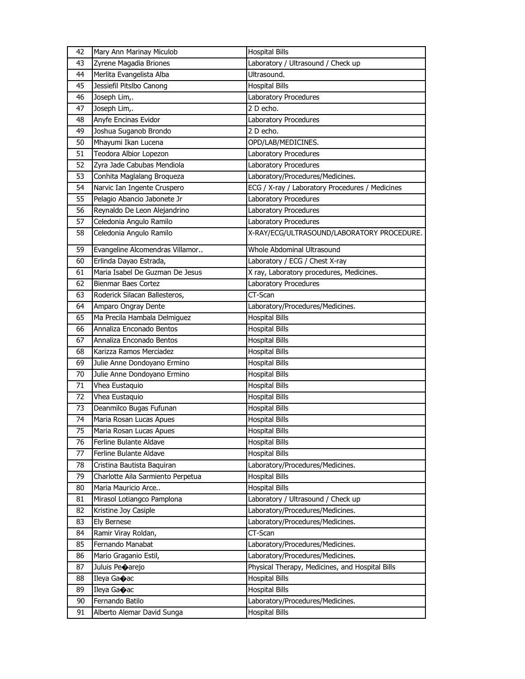| 42 | Mary Ann Marinay Miculob          | <b>Hospital Bills</b>                           |
|----|-----------------------------------|-------------------------------------------------|
| 43 | Zyrene Magadia Briones            | Laboratory / Ultrasound / Check up              |
| 44 | Merlita Evangelista Alba          | Ultrasound.                                     |
| 45 | Jessiefil Pitslbo Canong          | <b>Hospital Bills</b>                           |
| 46 | Joseph Lim,.                      | Laboratory Procedures                           |
| 47 | Joseph Lim,.                      | 2 D echo.                                       |
| 48 | Anyfe Encinas Evidor              | Laboratory Procedures                           |
| 49 | Joshua Suganob Brondo             | 2 D echo.                                       |
| 50 | Mhayumi Ikan Lucena               | OPD/LAB/MEDICINES.                              |
| 51 | Teodora Albior Lopezon            | Laboratory Procedures                           |
| 52 | Zyra Jade Cabubas Mendiola        | Laboratory Procedures                           |
| 53 | Conhita Maglalang Broqueza        | Laboratory/Procedures/Medicines.                |
| 54 | Narvic Ian Ingente Cruspero       | ECG / X-ray / Laboratory Procedures / Medicines |
| 55 | Pelagio Abancio Jabonete Jr       | Laboratory Procedures                           |
| 56 | Reynaldo De Leon Alejandrino      | Laboratory Procedures                           |
| 57 | Celedonia Angulo Ramilo           | Laboratory Procedures                           |
| 58 | Celedonia Angulo Ramilo           | X-RAY/ECG/ULTRASOUND/LABORATORY PROCEDURE.      |
| 59 | Evangeline Alcomendras Villamor   | Whole Abdominal Ultrasound                      |
| 60 | Erlinda Dayao Estrada,            | Laboratory / ECG / Chest X-ray                  |
| 61 | Maria Isabel De Guzman De Jesus   | X ray, Laboratory procedures, Medicines.        |
| 62 | <b>Bienmar Baes Cortez</b>        | Laboratory Procedures                           |
| 63 | Roderick Silacan Ballesteros,     | CT-Scan                                         |
| 64 | Amparo Ongray Dente               | Laboratory/Procedures/Medicines.                |
| 65 | Ma Precila Hambala Delmiguez      | <b>Hospital Bills</b>                           |
| 66 | Annaliza Enconado Bentos          | <b>Hospital Bills</b>                           |
| 67 | Annaliza Enconado Bentos          | <b>Hospital Bills</b>                           |
| 68 | Karizza Ramos Merciadez           | <b>Hospital Bills</b>                           |
| 69 | Julie Anne Dondoyano Ermino       | <b>Hospital Bills</b>                           |
| 70 | Julie Anne Dondoyano Ermino       | <b>Hospital Bills</b>                           |
| 71 | Vhea Eustaquio                    | <b>Hospital Bills</b>                           |
| 72 | Vhea Eustaquio                    | <b>Hospital Bills</b>                           |
| 73 | Deanmilco Bugas Fufunan           | <b>Hospital Bills</b>                           |
| 74 | Maria Rosan Lucas Apues           | <b>Hospital Bills</b>                           |
| 75 | Maria Rosan Lucas Apues           | <b>Hospital Bills</b>                           |
| 76 | Ferline Bulante Aldave            | <b>Hospital Bills</b>                           |
| 77 | Ferline Bulante Aldave            | <b>Hospital Bills</b>                           |
| 78 | Cristina Bautista Baquiran        | Laboratory/Procedures/Medicines.                |
| 79 | Charlotte Aila Sarmiento Perpetua | <b>Hospital Bills</b>                           |
| 80 | Maria Mauricio Arce               | <b>Hospital Bills</b>                           |
| 81 | Mirasol Lotiangco Pamplona        | Laboratory / Ultrasound / Check up              |
| 82 | Kristine Joy Casiple              | Laboratory/Procedures/Medicines.                |
| 83 | Ely Bernese                       | Laboratory/Procedures/Medicines.                |
| 84 | Ramir Viray Roldan,               | CT-Scan                                         |
| 85 | Fernando Manabat                  | Laboratory/Procedures/Medicines.                |
| 86 | Mario Graganio Estil,             | Laboratory/Procedures/Medicines.                |
| 87 | Juluis Peoarejo                   | Physical Therapy, Medicines, and Hospital Bills |
| 88 | Ileya Ga�ac                       | <b>Hospital Bills</b>                           |
| 89 | Ileya Ga�ac                       | <b>Hospital Bills</b>                           |
| 90 | Fernando Batilo                   | Laboratory/Procedures/Medicines.                |
| 91 | Alberto Alemar David Sunga        | <b>Hospital Bills</b>                           |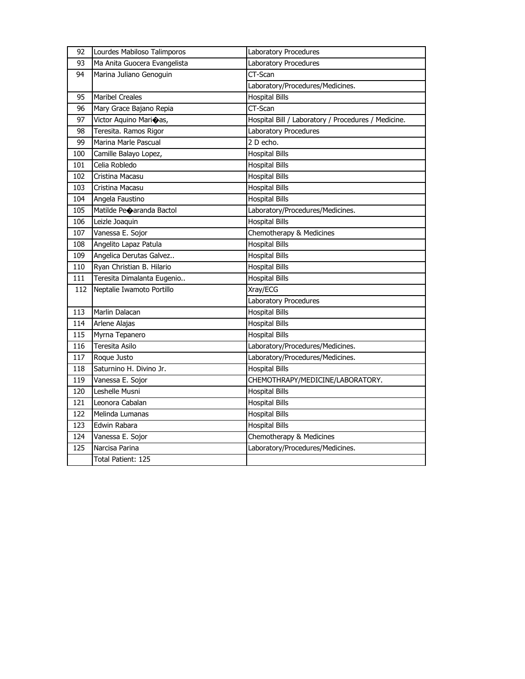| 92  | Lourdes Mabiloso Talimporos  | Laboratory Procedures                               |
|-----|------------------------------|-----------------------------------------------------|
| 93  | Ma Anita Guocera Evangelista | Laboratory Procedures                               |
| 94  | Marina Juliano Genoguin      | CT-Scan                                             |
|     |                              | Laboratory/Procedures/Medicines.                    |
| 95  | <b>Maribel Creales</b>       | <b>Hospital Bills</b>                               |
| 96  | Mary Grace Bajano Repia      | CT-Scan                                             |
| 97  | Victor Aquino Marioas,       | Hospital Bill / Laboratory / Procedures / Medicine. |
| 98  | Teresita. Ramos Rigor        | Laboratory Procedures                               |
| 99  | Marina Marle Pascual         | 2 D echo.                                           |
| 100 | Camille Balayo Lopez,        | <b>Hospital Bills</b>                               |
| 101 | Celia Robledo                | <b>Hospital Bills</b>                               |
| 102 | Cristina Macasu              | <b>Hospital Bills</b>                               |
| 103 | Cristina Macasu              | <b>Hospital Bills</b>                               |
| 104 | Angela Faustino              | <b>Hospital Bills</b>                               |
| 105 | Matilde Peoaranda Bactol     | Laboratory/Procedures/Medicines.                    |
| 106 | Leizle Joaquin               | <b>Hospital Bills</b>                               |
| 107 | Vanessa E. Sojor             | Chemotherapy & Medicines                            |
| 108 | Angelito Lapaz Patula        | <b>Hospital Bills</b>                               |
| 109 | Angelica Derutas Galvez      | <b>Hospital Bills</b>                               |
| 110 | Ryan Christian B. Hilario    | <b>Hospital Bills</b>                               |
| 111 | Teresita Dimalanta Eugenio   | <b>Hospital Bills</b>                               |
| 112 | Neptalie Iwamoto Portillo    | Xray/ECG                                            |
|     |                              | Laboratory Procedures                               |
| 113 | Marlin Dalacan               | <b>Hospital Bills</b>                               |
| 114 | Arlene Alajas                | <b>Hospital Bills</b>                               |
| 115 | Myrna Tepanero               | <b>Hospital Bills</b>                               |
| 116 | Teresita Asilo               | Laboratory/Procedures/Medicines.                    |
| 117 | Roque Justo                  | Laboratory/Procedures/Medicines.                    |
| 118 | Saturnino H. Divino Jr.      | <b>Hospital Bills</b>                               |
| 119 | Vanessa E. Sojor             | CHEMOTHRAPY/MEDICINE/LABORATORY.                    |
| 120 | Leshelle Musni               | <b>Hospital Bills</b>                               |
| 121 | Leonora Cabalan              | <b>Hospital Bills</b>                               |
| 122 | Melinda Lumanas              | <b>Hospital Bills</b>                               |
| 123 | Edwin Rabara                 | <b>Hospital Bills</b>                               |
| 124 | Vanessa E. Sojor             | Chemotherapy & Medicines                            |
| 125 | Narcisa Parina               | Laboratory/Procedures/Medicines.                    |
|     | Total Patient: 125           |                                                     |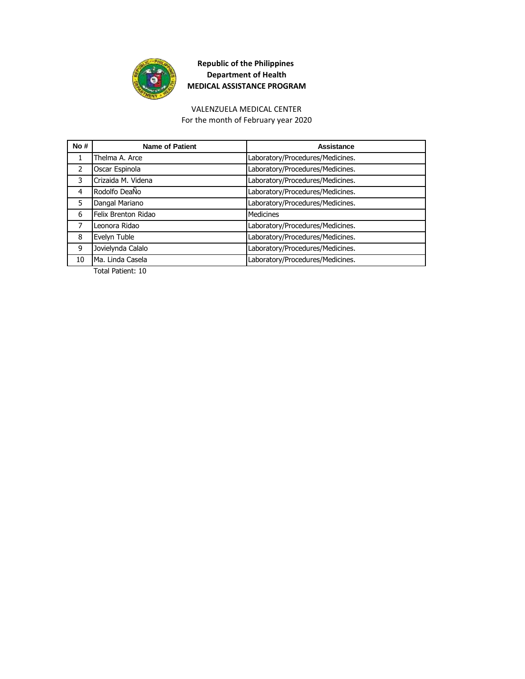

#### VALENZUELA MEDICAL CENTER

For the month of February year 2020

| No#           | <b>Name of Patient</b> | Assistance                       |
|---------------|------------------------|----------------------------------|
| 1             | Thelma A. Arce         | Laboratory/Procedures/Medicines. |
| $\mathcal{P}$ | Oscar Espinola         | Laboratory/Procedures/Medicines. |
| 3             | Crizaida M. Videna     | Laboratory/Procedures/Medicines. |
| 4             | Rodolfo DeaÑo          | Laboratory/Procedures/Medicines. |
| 5             | Dangal Mariano         | Laboratory/Procedures/Medicines. |
| 6             | Felix Brenton Ridao    | Medicines                        |
| 7             | Leonora Ridao          | Laboratory/Procedures/Medicines. |
| 8             | Evelyn Tuble           | Laboratory/Procedures/Medicines. |
| 9             | Jovielynda Calalo      | Laboratory/Procedures/Medicines. |
| 10            | Ma. Linda Casela       | Laboratory/Procedures/Medicines. |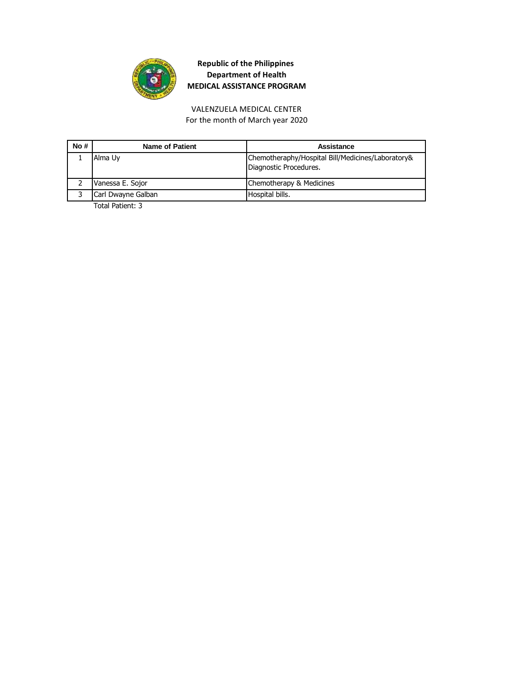

# VALENZUELA MEDICAL CENTER

For the month of March year 2020

| No# | <b>Name of Patient</b> | Assistance                                                                  |
|-----|------------------------|-----------------------------------------------------------------------------|
|     | Alma Uy                | Chemotheraphy/Hospital Bill/Medicines/Laboratory&<br>Diagnostic Procedures. |
|     | Vanessa E. Sojor       | Chemotherapy & Medicines                                                    |
|     | Carl Dwayne Galban     | Hospital bills.                                                             |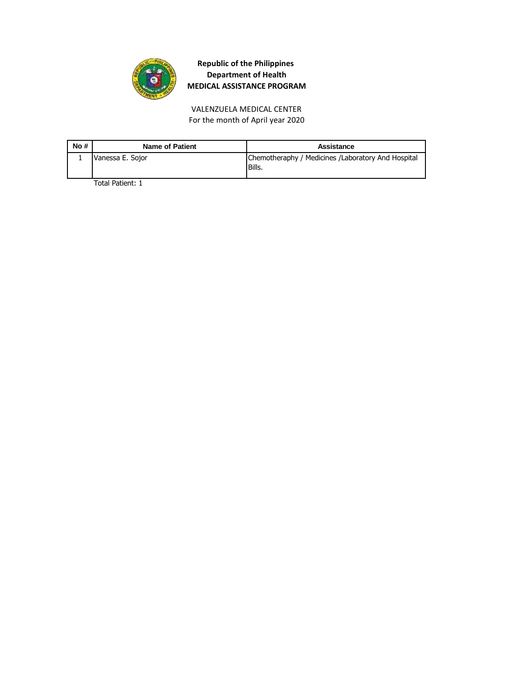

For the month of April year 2020 VALENZUELA MEDICAL CENTER

| No # | <b>Name of Patient</b> | Assistance                                                   |
|------|------------------------|--------------------------------------------------------------|
|      | Vanessa E. Sojor       | Chemotheraphy / Medicines /Laboratory And Hospital<br>Bills. |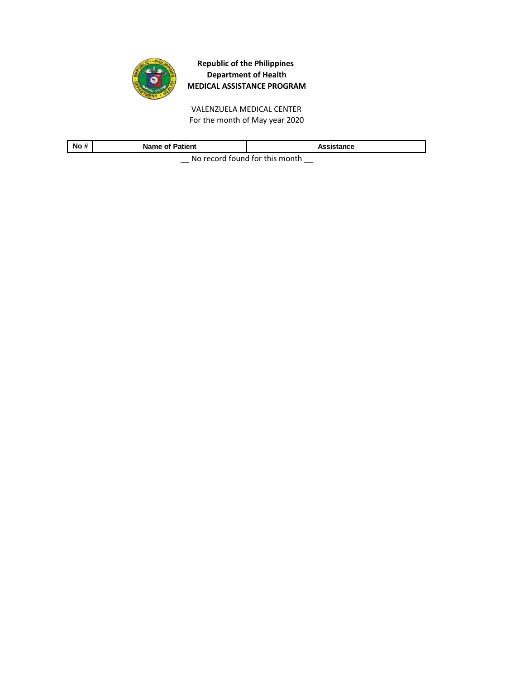

VALENZUELA MEDICAL CENTER For the month of May year 2020

| $\cdot$<br><b>No</b><br>$\boldsymbol{\pi}$ | <b>Name of Patient</b> | Assistance |
|--------------------------------------------|------------------------|------------|
| No received factoral faithful property     |                        |            |

 $\equiv$  No record found for this month  $\equiv$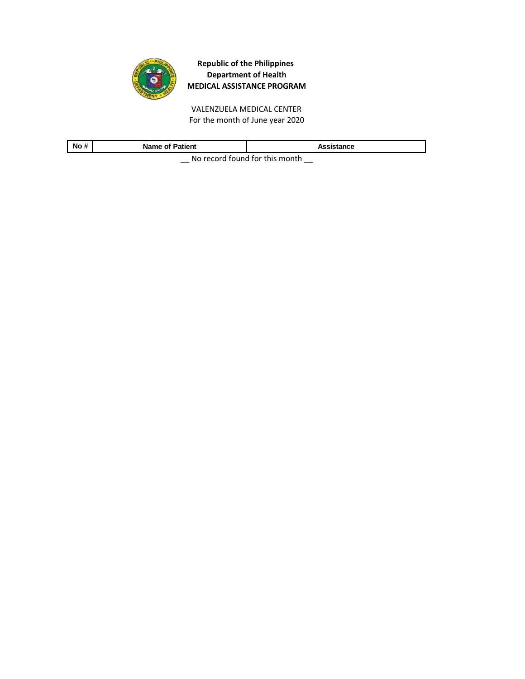

VALENZUELA MEDICAL CENTER For the month of June year 2020

| No#                                     | <b>Name of Patient</b> | Assistance |
|-----------------------------------------|------------------------|------------|
| No reserved formed for this reservation |                        |            |

 $\equiv$  No record found for this month  $\equiv$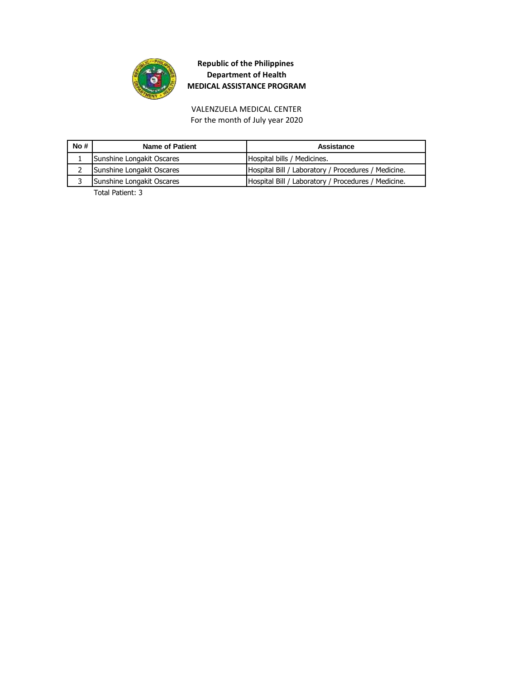

VALENZUELA MEDICAL CENTER For the month of July year 2020

| No# | Name of Patient           | Assistance                                          |
|-----|---------------------------|-----------------------------------------------------|
|     | Sunshine Longakit Oscares | Hospital bills / Medicines.                         |
|     | Sunshine Longakit Oscares | Hospital Bill / Laboratory / Procedures / Medicine. |
|     | Sunshine Longakit Oscares | Hospital Bill / Laboratory / Procedures / Medicine. |
|     | __ ._ . _                 |                                                     |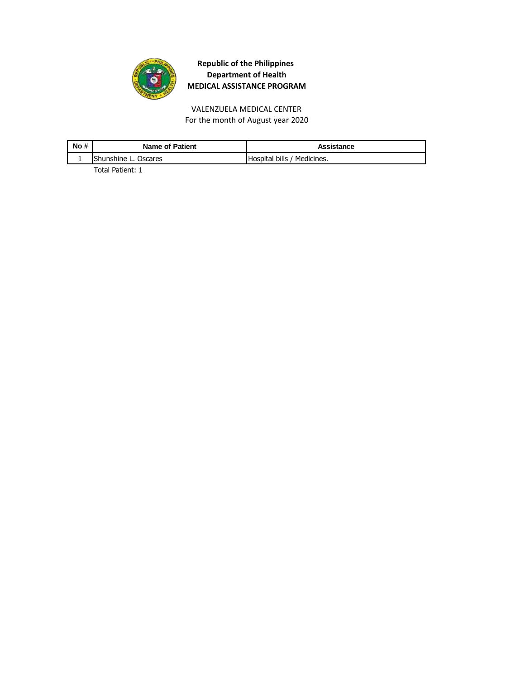

VALENZUELA MEDICAL CENTER For the month of August year 2020

| No # | <b>Name of Patient</b> | Assistance                  |
|------|------------------------|-----------------------------|
|      | Shunshine L. Oscares   | Hospital bills / Medicines. |
|      |                        |                             |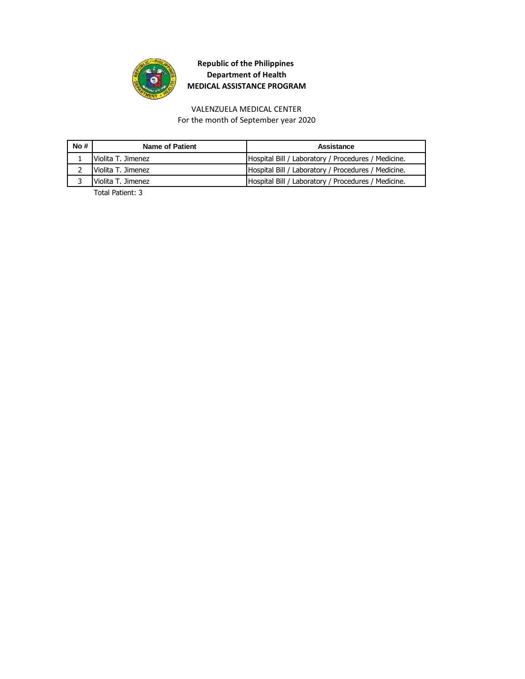

## VALENZUELA MEDICAL CENTER

For the month of September year 2020

| No# | Name of Patient      | Assistance                                          |
|-----|----------------------|-----------------------------------------------------|
|     | Violita T. Jimenez   | Hospital Bill / Laboratory / Procedures / Medicine. |
|     | 2 Violita T. Jimenez | Hospital Bill / Laboratory / Procedures / Medicine. |
|     | Violita T. Jimenez   | Hospital Bill / Laboratory / Procedures / Medicine. |
|     | _.                   |                                                     |